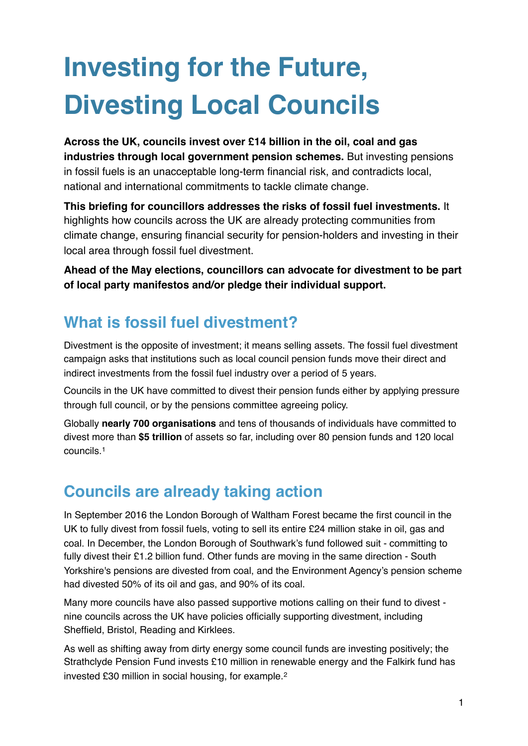# **Investing for the Future, Divesting Local Councils**

**Across the UK, councils invest over £14 billion in the oil, coal and gas industries through local government pension schemes.** But investing pensions in fossil fuels is an unacceptable long-term financial risk, and contradicts local, national and international commitments to tackle climate change.

**This briefing for councillors addresses the risks of fossil fuel investments.** It highlights how councils across the UK are already protecting communities from climate change, ensuring financial security for pension-holders and investing in their local area through fossil fuel divestment.

**Ahead of the May elections, councillors can advocate for divestment to be part of local party manifestos and/or pledge their individual support.**

# **What is fossil fuel divestment?**

Divestment is the opposite of investment; it means selling assets. The fossil fuel divestment campaign asks that institutions such as local council pension funds move their direct and indirect investments from the fossil fuel industry over a period of 5 years.

Councils in the UK have committed to divest their pension funds either by applying pressure through full council, or by the pensions committee agreeing policy.

Globally **nearly 700 organisations** and tens of thousands of individuals have committed to divest more than **\$5 trillion** of assets so far, including over 80 pension funds and 120 local councils.[1](#page-3-0)

## <span id="page-0-0"></span>**Councils are already taking action**

In September 2016 the London Borough of Waltham Forest became the first council in the UK to fully divest from fossil fuels, voting to sell its entire £24 million stake in oil, gas and coal. In December, the London Borough of Southwark's fund followed suit - committing to fully divest their £1.2 billion fund. Other funds are moving in the same direction - South Yorkshire's pensions are divested from coal, and the Environment Agency's pension scheme had divested 50% of its oil and gas, and 90% of its coal.

Many more councils have also passed supportive motions calling on their fund to divest nine councils across the UK have policies officially supporting divestment, including Sheffield, Bristol, Reading and Kirklees.

<span id="page-0-1"></span>As well as shifting away from dirty energy some council funds are investing positively; the Strathclyde Pension Fund invests £10 million in renewable energy and the Falkirk fund has invested £30 million in social housing, for example.[2](#page-3-1)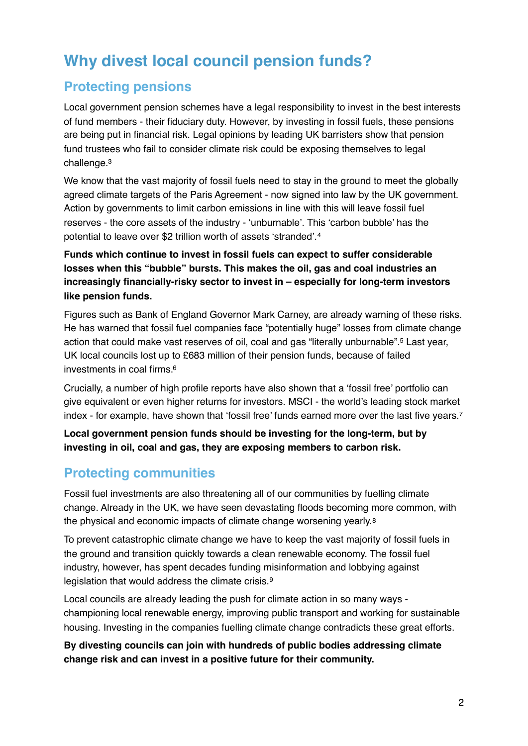## **Why divest local council pension funds?**

#### **Protecting pensions**

Local government pension schemes have a legal responsibility to invest in the best interests of fund members - their fiduciary duty. However, by investing in fossil fuels, these pensions are being put in financial risk. Legal opinions by leading UK barristers show that pension fund trustees who fail to consider climate risk could be exposing themselves to legal challenge[.3](#page-3-2)

<span id="page-1-0"></span>We know that the vast majority of fossil fuels need to stay in the ground to meet the globally agreed climate targets of the Paris Agreement - now signed into law by the UK government. Action by governments to limit carbon emissions in line with this will leave fossil fuel reserves - the core assets of the industry - 'unburnable'. This 'carbon bubble' has the potential to leave over \$2 trillion worth of assets 'stranded'.[4](#page-3-3)

<span id="page-1-1"></span>**Funds which continue to invest in fossil fuels can expect to suffer considerable losses when this "bubble" bursts. This makes the oil, gas and coal industries an increasingly financially-risky sector to invest in – especially for long-term investors like pension funds.** 

<span id="page-1-2"></span>Figures such as Bank of England Governor Mark Carney, are already warning of these risks. He has warned that fossil fuel companies face "potentially huge" losses from climate change action that could make vast reserves of oil, coal and gas "literally unburnable"[.](#page-3-4)<sup>[5](#page-3-4)</sup> Last year, UK local councils lost up to £683 million of their pension funds, because of failed investments in coal firms[.6](#page-3-5)

<span id="page-1-3"></span>Crucially, a number of high profile reports have also shown that a 'fossil free' portfolio can give equivalent or even higher returns for investors. MSCI - the world's leading stock market index - for example, have shown that 'fossil free' funds earned more over the last five years.[7](#page-3-6)

<span id="page-1-4"></span>**Local government pension funds should be investing for the long-term, but by investing in oil, coal and gas, they are exposing members to carbon risk.**

#### **Protecting communities**

Fossil fuel investments are also threatening all of our communities by fuelling climate change. Already in the UK, we have seen devastating floods becoming more common, with the physical and economic impacts of climate change worsening yearly.[8](#page-3-7)

<span id="page-1-5"></span>To prevent catastrophic climate change we have to keep the vast majority of fossil fuels in the ground and transition quickly towards a clean renewable economy. The fossil fuel industry, however, has spent decades funding misinformation and lobbying against legislation that would address the climate crisis.[9](#page-3-8)

<span id="page-1-6"></span>Local councils are already leading the push for climate action in so many ways championing local renewable energy, improving public transport and working for sustainable housing. Investing in the companies fuelling climate change contradicts these great efforts.

**By divesting councils can join with hundreds of public bodies addressing climate change risk and can invest in a positive future for their community.**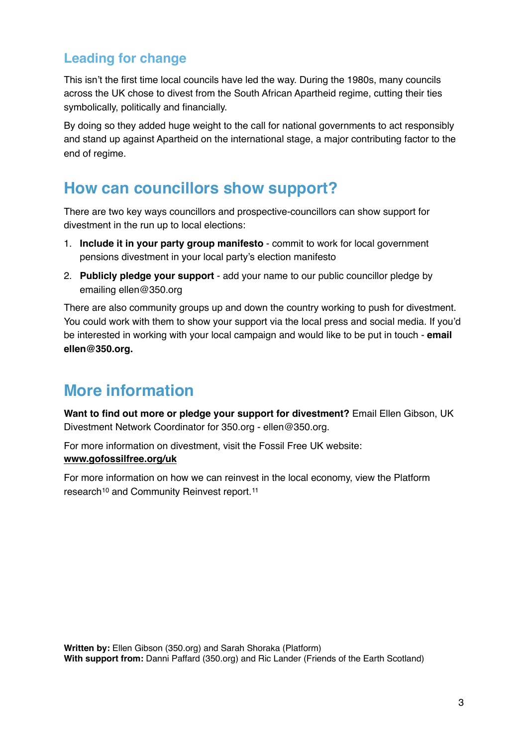#### **Leading for change**

This isn't the first time local councils have led the way. During the 1980s, many councils across the UK chose to divest from the South African Apartheid regime, cutting their ties symbolically, politically and financially.

By doing so they added huge weight to the call for national governments to act responsibly and stand up against Apartheid on the international stage, a major contributing factor to the end of regime.

### **How can councillors show support?**

There are two key ways councillors and prospective-councillors can show support for divestment in the run up to local elections:

- 1. **Include it in your party group manifesto** commit to work for local government pensions divestment in your local party's election manifesto
- 2. **Publicly pledge your support**  add your name to our public councillor pledge by emailing ellen@350.org

There are also community groups up and down the country working to push for divestment. You could work with them to show your support via the local press and social media. If you'd be interested in working with your local campaign and would like to be put in touch - **email ellen@350.org.** 

## **More information**

**Want to find out more or pledge your support for divestment?** Email Ellen Gibson, UK Divestment Network Coordinator for [350.org](http://350.org) - [ellen@350.org.](mailto:ellen@350.org)

For more information on divestment, visit the Fossil Free UK website: **[www.gofossilfree.org/uk](http://www.gofossilfree.org/uk)**

<span id="page-2-1"></span><span id="page-2-0"></span>For more information on how we can reinvest in the local economy, view the Platform research<sup>10</sup>and Community Reinvest report.<sup>[11](#page-3-10)</sup>